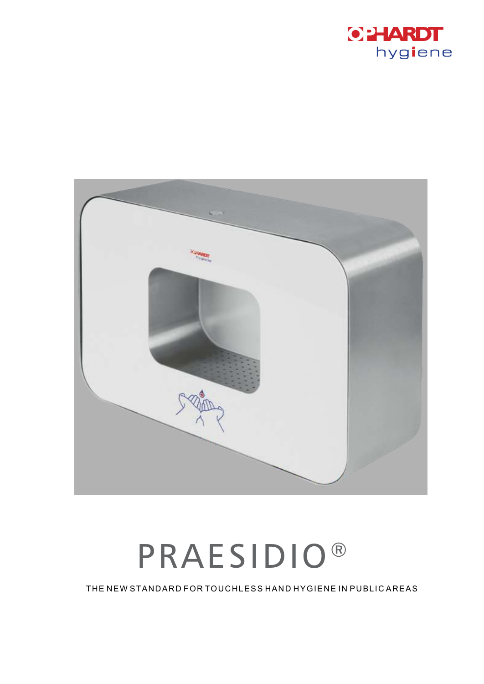



## **PRAESIDIO®**

THE NEW STANDARD FOR TOUCHLESS HAND HYGIENE IN PUBLIC AREAS